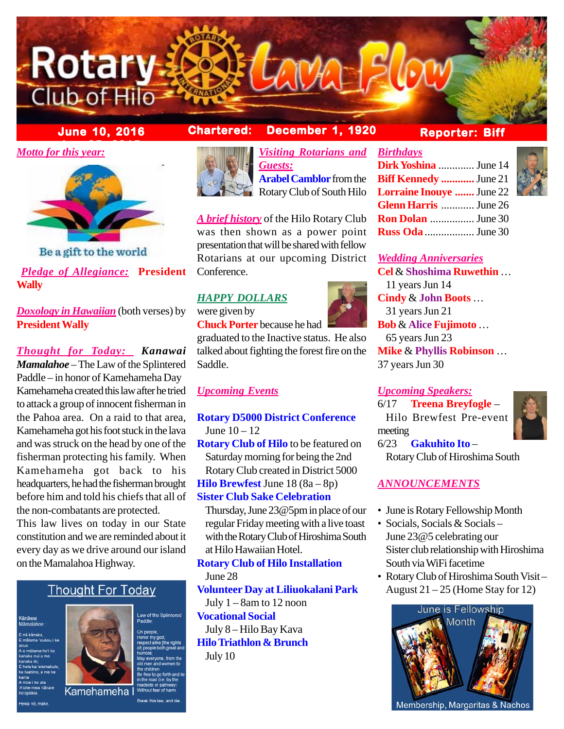

# **June 10, 2016 Chartered: December 1, 1920**

*bMotto for this year:* 



Be a gift to the world

### *Pledge of Allegiance:* **President Wally**

*Doxology in Hawaiian* (both verses) by **President Wally**

*Thought for Today: Kanawai Mamalahoe* – The Law of the Splintered Paddle – in honor of Kamehameha Day Kamehameha created this law after he tried to attack a group of innocent fisherman in the Pahoa area. On a raid to that area, Kamehameha got his foot stuck in the lava and was struck on the head by one of the fisherman protecting his family. When Kamehameha got back to his headquarters, he had the fisherman brought before him and told his chiefs that all of the non-combatants are protected.

This law lives on today in our State constitution and we are reminded about it every day as we drive around our island on the Mamalahoa Highway.

# **Thought For Today**

<mark>Känäwai</mark><br>Mämalahoe



Break this law, and

aw of the Splintered



*Visiting Rotarians and Birthdays Guests:* **Arabel Camblor** from the Rotary Club of South Hilo

*A brief history* of the Hilo Rotary Club was then shown as a power point presentation that will be shared with fellow Rotarians at our upcoming District Conference.

## *HAPPY DOLLARS*

were given by **Chuck Porter** because he had

graduated to the Inactive status. He also talked about fighting the forest fire on the Saddle.

### *Upcoming Events*

**Rotary D5000 District Conference** June  $10 - 12$ 

**Rotary Club of Hilo** to be featured on Saturday morning for being the 2nd Rotary Club created in District 5000 **Hilo Brewfest** June 18 (8a – 8p) **Sister Club Sake Celebration**

Thursday, June 23@5pm in place of our regular Friday meeting with a live toast with the Rotary Club of Hiroshima South at Hilo Hawaiian Hotel.

**Rotary Club of Hilo Installation** June 28 **Volunteer Day at Liliuokalani Park** July  $1 - 8$ am to 12 noon **Vocational Social** July 8 – Hilo Bay Kava **Hilo Triathlon & Brunch** July 10

# **Reporter: Biff**

| Dirk Yoshina  June 14           |  |
|---------------------------------|--|
| <b>Biff Kennedy </b> June 21    |  |
| <b>Lorraine Inouye </b> June 22 |  |
| <b>Glenn Harris</b> June 26     |  |
| <b>Ron Dolan</b> June 30        |  |
| <b>Russ Oda</b> June 30         |  |

#### *Wedding Anniversaries*

**Cel** & **Shoshima Ruwethin** … 11 years Jun 14 **Cindy** & **John Boots** … 31 years Jun 21 **Bob** & **Alice Fujimoto** … 65 years Jun 23 **Mike** & **Phyllis Robinson** … 37 years Jun 30

### *Upcoming Speakers:*

6/17 **Treena Breyfogle** – Hilo Brewfest Pre-event meeting 6/23 **Gakuhito Ito** –



Rotary Club of Hiroshima South

### *ANNOUNCEMENTS*

- June is Rotary Fellowship Month
- Socials, Socials & Socials June 23@5 celebrating our Sister club relationship with Hiroshima South via WiFi facetime
- Rotary Club of Hiroshima South Visit August  $21 - 25$  (Home Stay for 12)